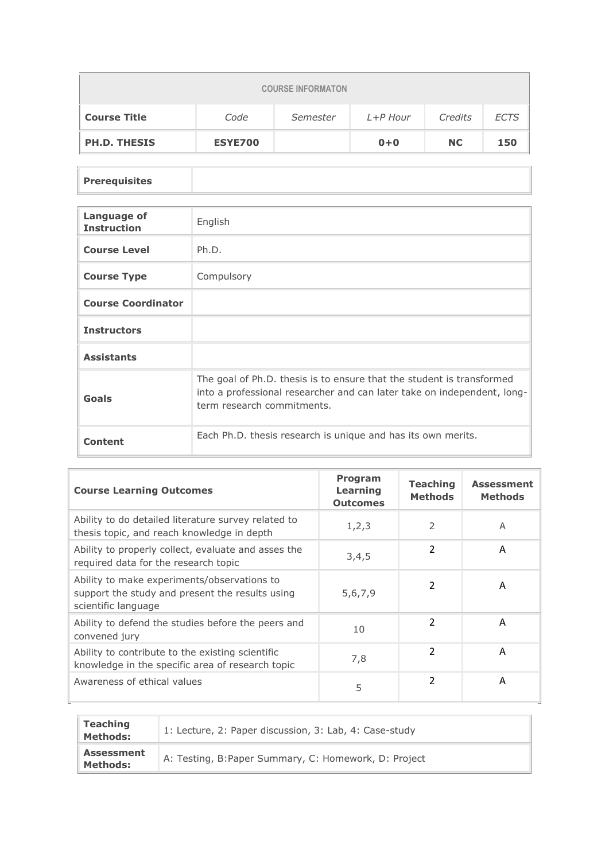| <b>COURSE INFORMATON</b> |                |          |          |           |             |  |  |
|--------------------------|----------------|----------|----------|-----------|-------------|--|--|
| <b>Course Title</b>      | Code           | Semester | L+P Hour | Credits   | <b>ECTS</b> |  |  |
| <b>PH.D. THESIS</b>      | <b>ESYE700</b> |          | $0+0$    | <b>NC</b> | 150         |  |  |

## **Prerequisites**

| Language of<br><b>Instruction</b> | English                                                                                                                                                                        |
|-----------------------------------|--------------------------------------------------------------------------------------------------------------------------------------------------------------------------------|
| <b>Course Level</b>               | Ph.D.                                                                                                                                                                          |
| <b>Course Type</b>                | Compulsory                                                                                                                                                                     |
| <b>Course Coordinator</b>         |                                                                                                                                                                                |
| <b>Instructors</b>                |                                                                                                                                                                                |
| <b>Assistants</b>                 |                                                                                                                                                                                |
| Goals                             | The goal of Ph.D. thesis is to ensure that the student is transformed<br>into a professional researcher and can later take on independent, long-<br>term research commitments. |
| Content                           | Each Ph.D. thesis research is unique and has its own merits.                                                                                                                   |

| <b>Course Learning Outcomes</b>                                                                                       | <b>Program</b><br>Learning<br><b>Outcomes</b> | <b>Teaching</b><br><b>Methods</b> | <b>Assessment</b><br><b>Methods</b> |
|-----------------------------------------------------------------------------------------------------------------------|-----------------------------------------------|-----------------------------------|-------------------------------------|
| Ability to do detailed literature survey related to<br>thesis topic, and reach knowledge in depth                     | 1, 2, 3                                       | $\mathcal{P}$                     | A                                   |
| Ability to properly collect, evaluate and asses the<br>required data for the research topic                           | 3,4,5                                         | $\overline{2}$                    | A                                   |
| Ability to make experiments/observations to<br>support the study and present the results using<br>scientific language | 5,6,7,9                                       | 2                                 | A                                   |
| Ability to defend the studies before the peers and<br>convened jury                                                   | 10                                            | $\mathcal{P}$                     | A                                   |
| Ability to contribute to the existing scientific<br>knowledge in the specific area of research topic                  | 7,8                                           | $\mathfrak{p}$                    | A                                   |
| Awareness of ethical values                                                                                           | 5                                             | $\overline{2}$                    | A                                   |

| Teaching<br><b>Methods:</b>          | 1: Lecture, 2: Paper discussion, 3: Lab, 4: Case-study |
|--------------------------------------|--------------------------------------------------------|
| <b>Assessment</b><br><b>Methods:</b> | A: Testing, B: Paper Summary, C: Homework, D: Project  |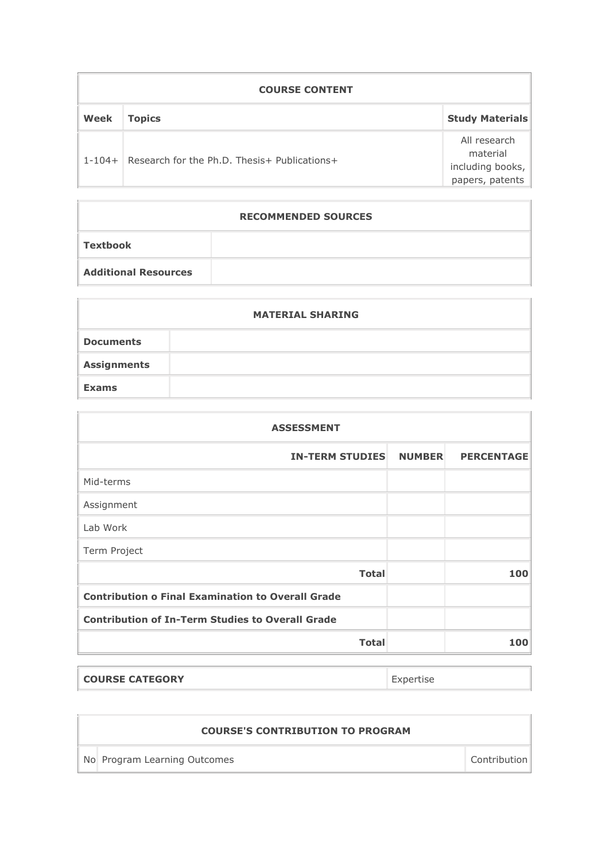| <b>COURSE CONTENT</b> |                                              |                                                                 |  |  |
|-----------------------|----------------------------------------------|-----------------------------------------------------------------|--|--|
| Week                  | <b>Topics</b>                                | <b>Study Materials</b>                                          |  |  |
| $1 - 104 +$           | Research for the Ph.D. Thesis+ Publications+ | All research<br>material<br>including books,<br>papers, patents |  |  |

|                             | <b>RECOMMENDED SOURCES</b> |
|-----------------------------|----------------------------|
| Textbook                    |                            |
| <b>Additional Resources</b> |                            |

| <b>MATERIAL SHARING</b> |  |  |  |  |
|-------------------------|--|--|--|--|
| <b>Documents</b>        |  |  |  |  |
| <b>Assignments</b>      |  |  |  |  |
| <b>Exams</b>            |  |  |  |  |
|                         |  |  |  |  |

| <b>ASSESSMENT</b> |                   |  |  |  |  |
|-------------------|-------------------|--|--|--|--|
| <b>NUMBER</b>     | <b>PERCENTAGE</b> |  |  |  |  |
|                   |                   |  |  |  |  |
|                   |                   |  |  |  |  |
|                   |                   |  |  |  |  |
|                   |                   |  |  |  |  |
|                   | 100               |  |  |  |  |
|                   |                   |  |  |  |  |
|                   |                   |  |  |  |  |
|                   | 100               |  |  |  |  |
|                   |                   |  |  |  |  |

| <b>COURSE CATEGORY</b> |  |
|------------------------|--|
|                        |  |

| <b>COURSE'S CONTRIBUTION TO PROGRAM</b> |              |
|-----------------------------------------|--------------|
| No Program Learning Outcomes            | Contribution |